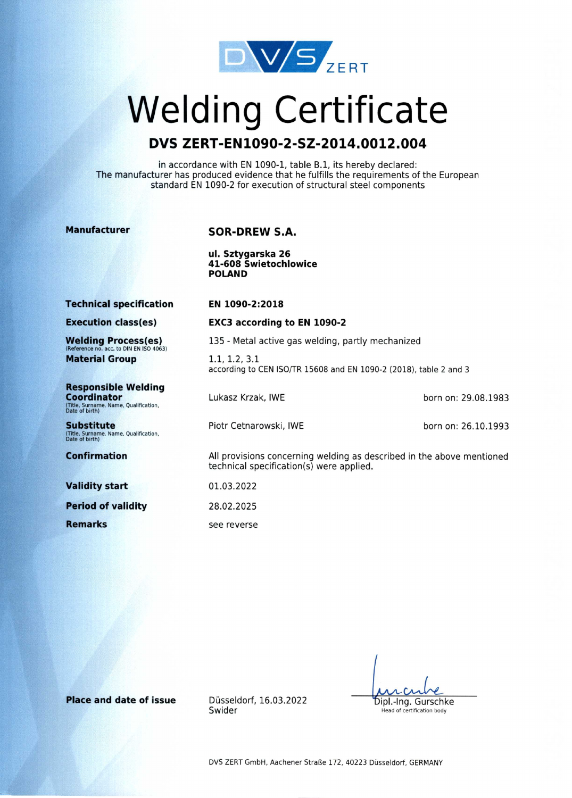

# **Welding Certificate**

# **DVS ZERT-EN1090-2-SZ-2014.0012.004**

in accordance with EN 1090-1, table B.1, its hereby declared: The manufacturer has produced evidence that he fulfills the requirements of the European standard EN 1090-2 for execution of structural steel components

#### **Manufacturer**

## **SOR-DREW S.A.**

**ul. Sztygarska 26 41-608 Swietochlowice POLAND** 

**Technical specification** 

#### **EN 1090-2:2018**

**Execution class(es)** 

Welding Process(es)<br>(Reference no. acc. to DIN EN ISO 4063) **Material Group** 

**Responsible Welding Coordinator**  (Title, Surname, Name, Qualification, Date of birth)

**Substitute**  (Title, Surname, Name, Qualification, Date of birth)

**Confirmation** 

**Validity start** 

**Period of validity** 

**Remarks** 

**EXC3 according to EN 1090-2** 

135 - Metal active gas welding, partly mechanized

1.1, 1.2, 3.1 according to CEN ISO/TR 15608 and EN 1090-2 (2018), table 2 and 3

Lukasz Krzak, IWE

born on: 29.08.1983

Piotr Cetnarowski, IWE

born on: 26.10.1993

All provisions concerning welding as described in the above mentioned technical specification(s) were applied.

01.03.2022 28.02.2025 see reverse

Dipl.-Ing. Gurschke

Head of certification body

**Place and date of issue** Düsseldorf, 16.03.2022 Swider